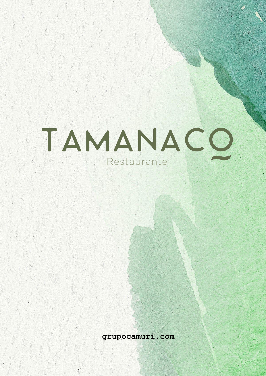# TAMANACO Restaurante

**grupocamuri.com**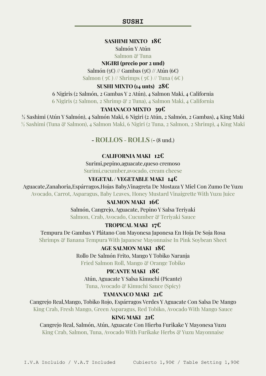#### **SUSHI**

# **SASHIMI MIXTO 18€**

Salmón Y Atún

Salmon & Tuna

### **NIGIRI (precio por 2 und)**

Salmón (5€) // Gambas (5€) // Atún (6€) Salmon (  $5 \in$  ) // Shrimps (  $5 \in$  ) // Tuna (  $6 \in$  )

#### **SUSHI MIXTO (14 unts) 28€**

6 Nigiris (2 Salmón, 2 Gambas Y 2 Atún), 4 Salmon Maki, 4 California

6 Nigiris (2 Salmon, 2 Shrimp & 2 Tuna), 4 Salmon Maki, 4 California

# **TAMANACO MIXTO 39€**

½ Sashimi (Atún Y Salmón), 4 Salmón Maki, 6 Nigiri (2 Atún, 2 Salmón, 2 Gambas), 4 King Maki ½ Sashimi (Tuna & Salmon), 4 Salmon Maki, 6 Nigiri (2 Tuna, 2 Salmon, 2 Shrimp), 4 King Maki

# **- ROLLOS - ROLLS** (**-** (8 und.)

# **CALIFORNIA MAKI 12€**

Surimi,pepino,aguacate,queso cremoso Surimi,cucumber,avocado, cream cheese

# **VEGETAL / VEGETABLE MAKI 14€**

Aguacate,Zanahoria,Espárragos,Hojas Baby,Vinagreta De Mostaza Y Miel Con Zumo De Yuzu Avocado, Carrot, Asparagus, Baby Leaves, Honey Mustard Vinaigrette With Yuzu Juice

# **SALMON MAKI 16€**

Salmón, Cangrejo, Aguacate, Pepino Y Salsa Teriyaki Salmon, Crab, Avocado, Cucumber & Teriyaki Sauce

#### **TROPICAL MAKI 17€**

Tempura De Gambas Y Plátano Con Mayonesa Japonesa En Hoja De Soja Rosa Shrimps & Banana Tempura With Japanese Mayonnaise In Pink Soybean Sheet

# **AGE SALMON MAKI 18€**

Rollo De Salmón Frito, Mango Y Tobiko Naranja

Fried Salmon Roll, Mango & Orange Tobiko

#### **PICANTE MAKI 18€**

Atún, Aguacate Y Salsa Kimuchi (Picante) Tuna, Avocado & Kimuchi Sauce (Spicy)

# **TAMANACO MAKI 21€**

Cangrejo Real,Mango, Tobiko Rojo, Espárragos Verdes Y Aguacate Con Salsa De Mango

King Crab, Fresh Mango, Green Asparagus, Red Tobiko, Avocado With Mango Sauce

#### **KING MAKI 21€**

Cangrejo Real, Salmón, Atún, Aguacate Con Hierba Furikake Y Mayonesa Yuzu King Crab, Salmon, Tuna, Avocado With Furikake Herbs & Yuzu Mayonnaise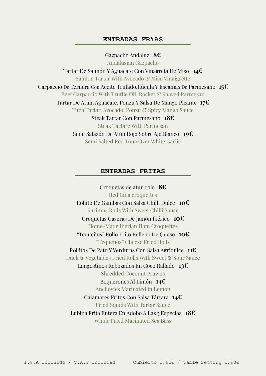## **ENTRADAS FRíAS**

Gazpacho Andaluz **8€** Andalusian Gazpacho Tartar De Salmón Y Aguacate Con Vinagreta De Miso **14€** Salmon Tartar With Avocado & Miso Vinaigrette Carpaccio De Ternera Con Aceite Trufado,Rúcula Y Escamas De Parmesano **15€** Beef Carpaccio With Truffle Oil, Rocket & Shaved Parmesan Tartar De Atún, Aguacate, Ponzu Y Salsa De Mango Picante **17€** Tuna Tartar, Avocado, Ponzu & Spicy Mango Sauce Steak Tartar Con Parmesano **18€** Steak Tartare With Parmesan Semi Salazón De Atún Rojo Sobre Ajo Blanco **19€** Semi Salted Red Tuna Over White Garlic

## **ENTRADAS FRITAS**

Croquetas de atún rojo **8€** Red tuna croquettes Rollito De Gambas Con Salsa Chilli Dulce **10€** Shrimps Rolls With Sweet Chilli Sauce Croquetas Caseras De Jamón Ibérico **10€** Home-Made Iberian Ham Croquettes "Tequeños" Rollo Frito Relleno De Queso **10€** "Tequeños" Cheese Fried Rolls Rollitos De Pato Y Verduras Con Salsa Agridulce **11€** Duck & Vegetables Fried Rolls With Sweet & Sour Sauce Langostinos Rebozados En Coco Rallado **13€** Shredded Coconut Prawns Boquerones Al Limón **14€** Anchovies Marinated in Lemon Calamares Fritos Con Salsa Tártara **14€** Fried Squids With Tartar Sauce Lubina Frita Entera En Adobo A Las 5 Especias **18€** Whole Fried Marinated Sea Bass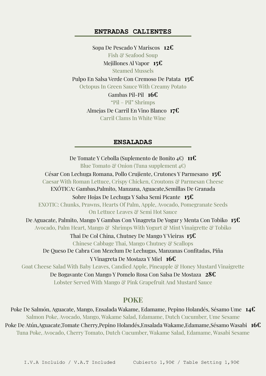# **ENTRADAS CALIENTES**

Sopa De Pescado Y Mariscos **12€** Fish & Seafood Soup Mejillones Al Vapor **15€** Steamed Mussels Pulpo En Salsa Verde Con Cremoso De Patata **15€** Octopus In Green Sauce With Creamy Potato Gambas Pil-Pil **16€** "Pil – Pil" Shrimps Almejas De Carril En Vino Blanco **17€** Carril Clams In White Wine

# **ENSALADAS**

De Tomate Y Cebolla (Suplemento de Bonito 4€) **11€** Blue Tomato & Onion (Tuna supplement  $4 \in \mathbb{C}$ ) César Con Lechuga Romana, Pollo Crujiente, Crutones Y Parmesano **15€** Caesar With Roman Lettuce, Crispy Chicken, Croutons & Parmesan Cheese EXÓTICA: Gambas,Palmito, Manzana, Aguacate,Semillas De Granada Sobre Hojas De Lechuga Y Salsa Semi Picante **15€** EXOTIC: Chunks, Prawns, Hearts Of Palm, Apple, Avocado, Pomegranate Seeds On Lettuce Leaves & Semi Hot Sauce De Aguacate, Palmito, Mango Y Gambas Con Vinagreta De Yogur y Menta Con Tobiko **15€** Avocado, Palm Heart, Mango & Shrimps With Yogurt & Mint Vinaigrette & Tobiko Thai De Col China, Chutney De Mango Y Vieiras **15€** Chinese Cabbage Thai, Mango Chutney & Scallops De Queso De Cabra Con Mezclum De Lechugas, Manzanas Confitadas, Piña Y Vinagreta De Mostaza Y Miel **16€** Goat Cheese Salad With Baby Leaves, Candied Apple, Pineapple & Honey Mustard Vinaigrette De Bogavante Con Mango Y Pomelo Rosa Con Salsa De Mostaza **28€** Lobster Served With Mango & Pink Grapefruit And Mustard Sauce

# **POKE**

Poke De Salmón, Aguacate, Mango, Ensalada Wakame, Edamame, Pepino Holandés, Sésamo Ume **14€** Salmon Poke, Avocado, Mango, Wakame Salad, Edamame, Dutch Cucumber, Ume Sesame Poke De Atún,Aguacate,Tomate Cherry,Pepino Holandés,Ensalada Wakame,Edamame,Sésamo Wasabi **16€** Tuna Poke, Avocado, Cherry Tomato, Dutch Cucumber, Wakame Salad, Edamame, Wasabi Sesame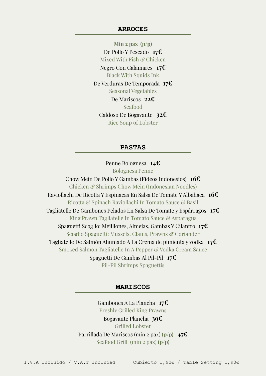#### **ARROCES**

**Min 2 pax (p/p)** De Pollo Y Pescado **17€** Mixed With Fish & Chicken Negro Con Calamares **17€** Black With Squids Ink De Verduras De Temporada **17€** Seasonal Vegetables De Mariscos **22€** Seafood Caldoso De Bogavante **32€** Rice Soup of Lobster

#### **PASTAS**

Penne Bolognesa **14€** Bolognesa Penne Chow Mein De Pollo Y Gambas (Fideos Indonesios) **16€** Chicken & Shrimps Chow Mein (Indonesian Noodles) Raviollachi De Ricotta Y Espinacas En Salsa De Tomate Y Albahaca **16€** Ricotta & Spinach Raviollachi In Tomato Sauce & Basil Tagliatelle De Gambones Pelados En Salsa De Tomate y Espárragos **17€** King Prawn Tagliatelle In Tomato Sauce & Asparagus Spaguetti Scoglio: Mejillones, Almejas, Gambas Y Cilantro **17€** Scoglio Spaguetti: Mussels, Clams, Prawns & Coriander Tagliatelle De Salmón Ahumado A La Crema de pimienta y vodka **17€** Smoked Salmon Tagliatelle In A Pepper & Vodka Cream Sauce Spaguetti De Gambas Al Pil-Pil **17€** Pil-Pil Shrimps Spaguettis

#### **MARISCOS**

Gambones A La Plancha **17€** Freshly Grilled King Prawns Bogavante Plancha **39€** Grilled Lobster Parrillada De Mariscos (min 2 pax) **(p/p) 47€** Seafood Grill (min 2 pax) **(p/p)**

I.V.A Incluido / V.A.T Included Cubierto 1,90€ / Table Setting 1,90€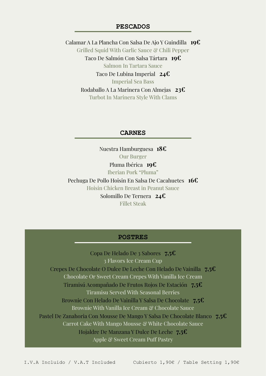# **PESCADOS**

Calamar A La Plancha Con Salsa De Ajo Y Guindilla **19€** Grilled Squid With Garlic Sauce & Chili Pepper Taco De Salmón Con Salsa Tártara **19€** Salmon In Tartara Sauce Taco De Lubina Imperial **24€** Imperial Sea Bass Rodaballo A La Marinera Con Almejas **23€** Turbot In Marinera Style With Clams

#### **CARNES**

Nuestra Hamburguesa **18€** Our Burger Pluma Ibérica **19€** Iberian Pork "Pluma" Pechuga De Pollo Hoisin En Salsa De Cacahuetes **16€** Hoisin Chicken Breast in Peanut Sauce Solomillo De Ternera **24€**

Fillet Steak

#### **POSTRES**

Copa De Helado De 3 Sabores **7,5€** 3 Flavors Ice Cream Cup Crepes De Chocolate O Dulce De Leche Con Helado De Vainilla **7,5€** Chocolate Or Sweet Cream Crepes With Vanilla Ice Cream Tiramisú Acompañado De Frutos Rojos De Estación **7,5€** Tiramisu Served With Seasonal Berries Brownie Con Helado De Vainilla Y Salsa De Chocolate **7,5€** Brownie With Vanilla Ice Cream & Chocolate Sauce Pastel De Zanahoria Con Mousse De Mango Y Salsa De Chocolate Blanco **7,5€** Carrot Cake With Mango Mousse & White Chocolate Sauce Hojaldre De Manzana Y Dulce De Leche **7,5€** Apple & Sweet Cream Puff Pastry